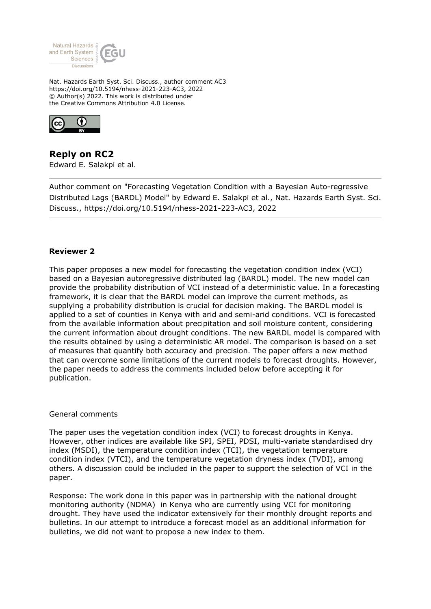

Nat. Hazards Earth Syst. Sci. Discuss., author comment AC3 https://doi.org/10.5194/nhess-2021-223-AC3, 2022 © Author(s) 2022. This work is distributed under the Creative Commons Attribution 4.0 License.



**Reply on RC2** Edward E. Salakpi et al.

Author comment on "Forecasting Vegetation Condition with a Bayesian Auto-regressive Distributed Lags (BARDL) Model" by Edward E. Salakpi et al., Nat. Hazards Earth Syst. Sci. Discuss., https://doi.org/10.5194/nhess-2021-223-AC3, 2022

## **Reviewer 2**

This paper proposes a new model for forecasting the vegetation condition index (VCI) based on a Bayesian autoregressive distributed lag (BARDL) model. The new model can provide the probability distribution of VCI instead of a deterministic value. In a forecasting framework, it is clear that the BARDL model can improve the current methods, as supplying a probability distribution is crucial for decision making. The BARDL model is applied to a set of counties in Kenya with arid and semi-arid conditions. VCI is forecasted from the available information about precipitation and soil moisture content, considering the current information about drought conditions. The new BARDL model is compared with the results obtained by using a deterministic AR model. The comparison is based on a set of measures that quantify both accuracy and precision. The paper offers a new method that can overcome some limitations of the current models to forecast droughts. However, the paper needs to address the comments included below before accepting it for publication.

## General comments

The paper uses the vegetation condition index (VCI) to forecast droughts in Kenya. However, other indices are available like SPI, SPEI, PDSI, multi-variate standardised dry index (MSDI), the temperature condition index (TCI), the vegetation temperature condition index (VTCI), and the temperature vegetation dryness index (TVDI), among others. A discussion could be included in the paper to support the selection of VCI in the paper.

Response: The work done in this paper was in partnership with the national drought monitoring authority (NDMA) in Kenya who are currently using VCI for monitoring drought. They have used the indicator extensively for their monthly drought reports and bulletins. In our attempt to introduce a forecast model as an additional information for bulletins, we did not want to propose a new index to them.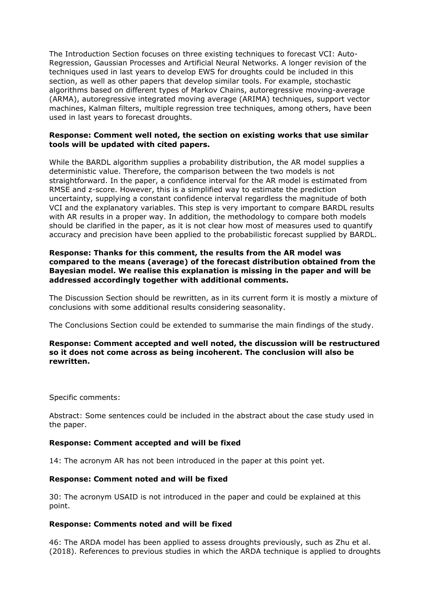The Introduction Section focuses on three existing techniques to forecast VCI: Auto-Regression, Gaussian Processes and Artificial Neural Networks. A longer revision of the techniques used in last years to develop EWS for droughts could be included in this section, as well as other papers that develop similar tools. For example, stochastic algorithms based on different types of Markov Chains, autoregressive moving-average (ARMA), autoregressive integrated moving average (ARIMA) techniques, support vector machines, Kalman filters, multiple regression tree techniques, among others, have been used in last years to forecast droughts.

## **Response: Comment well noted, the section on existing works that use similar tools will be updated with cited papers.**

While the BARDL algorithm supplies a probability distribution, the AR model supplies a deterministic value. Therefore, the comparison between the two models is not straightforward. In the paper, a confidence interval for the AR model is estimated from RMSE and z-score. However, this is a simplified way to estimate the prediction uncertainty, supplying a constant confidence interval regardless the magnitude of both VCI and the explanatory variables. This step is very important to compare BARDL results with AR results in a proper way. In addition, the methodology to compare both models should be clarified in the paper, as it is not clear how most of measures used to quantify accuracy and precision have been applied to the probabilistic forecast supplied by BARDL.

## **Response: Thanks for this comment, the results from the AR model was compared to the means (average) of the forecast distribution obtained from the Bayesian model. We realise this explanation is missing in the paper and will be addressed accordingly together with additional comments.**

The Discussion Section should be rewritten, as in its current form it is mostly a mixture of conclusions with some additional results considering seasonality.

The Conclusions Section could be extended to summarise the main findings of the study.

## **Response: Comment accepted and well noted, the discussion will be restructured so it does not come across as being incoherent. The conclusion will also be rewritten.**

Specific comments:

Abstract: Some sentences could be included in the abstract about the case study used in the paper.

## **Response: Comment accepted and will be fixed**

14: The acronym AR has not been introduced in the paper at this point yet.

## **Response: Comment noted and will be fixed**

30: The acronym USAID is not introduced in the paper and could be explained at this point.

## **Response: Comments noted and will be fixed**

46: The ARDA model has been applied to assess droughts previously, such as Zhu et al. (2018). References to previous studies in which the ARDA technique is applied to droughts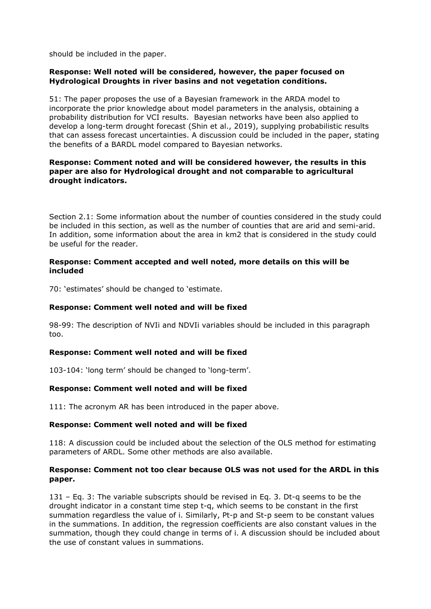should be included in the paper.

# **Response: Well noted will be considered, however, the paper focused on Hydrological Droughts in river basins and not vegetation conditions.**

51: The paper proposes the use of a Bayesian framework in the ARDA model to incorporate the prior knowledge about model parameters in the analysis, obtaining a probability distribution for VCI results. Bayesian networks have been also applied to develop a long-term drought forecast (Shin et al., 2019), supplying probabilistic results that can assess forecast uncertainties. A discussion could be included in the paper, stating the benefits of a BARDL model compared to Bayesian networks.

# **Response: Comment noted and will be considered however, the results in this paper are also for Hydrological drought and not comparable to agricultural drought indicators.**

Section 2.1: Some information about the number of counties considered in the study could be included in this section, as well as the number of counties that are arid and semi-arid. In addition, some information about the area in km2 that is considered in the study could be useful for the reader.

## **Response: Comment accepted and well noted, more details on this will be included**

70: 'estimates' should be changed to 'estimate.

# **Response: Comment well noted and will be fixed**

98-99: The description of NVIi and NDVIi variables should be included in this paragraph too.

# **Response: Comment well noted and will be fixed**

103-104: 'long term' should be changed to 'long-term'.

# **Response: Comment well noted and will be fixed**

111: The acronym AR has been introduced in the paper above.

# **Response: Comment well noted and will be fixed**

118: A discussion could be included about the selection of the OLS method for estimating parameters of ARDL. Some other methods are also available.

## **Response: Comment not too clear because OLS was not used for the ARDL in this paper.**

131 – Eq. 3: The variable subscripts should be revised in Eq. 3. Dt-q seems to be the drought indicator in a constant time step t-q, which seems to be constant in the first summation regardless the value of i. Similarly, Pt-p and St-p seem to be constant values in the summations. In addition, the regression coefficients are also constant values in the summation, though they could change in terms of i. A discussion should be included about the use of constant values in summations.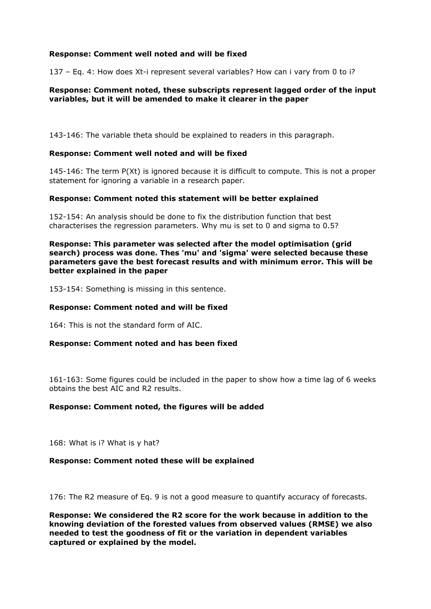# **Response: Comment well noted and will be fixed**

137 – Eq. 4: How does Xt-i represent several variables? How can i vary from 0 to i?

## **Response: Comment noted, these subscripts represent lagged order of the input variables, but it will be amended to make it clearer in the paper**

143-146: The variable theta should be explained to readers in this paragraph.

### **Response: Comment well noted and will be fixed**

145-146: The term P(Xt) is ignored because it is difficult to compute. This is not a proper statement for ignoring a variable in a research paper.

### **Response: Comment noted this statement will be better explained**

152-154: An analysis should be done to fix the distribution function that best characterises the regression parameters. Why mu is set to 0 and sigma to 0.5?

**Response: This parameter was selected after the model optimisation (grid search) process was done. Thes 'mu' and 'sigma' were selected because these parameters gave the best forecast results and with minimum error. This will be better explained in the paper**

153-154: Something is missing in this sentence.

### **Response: Comment noted and will be fixed**

164: This is not the standard form of AIC.

#### **Response: Comment noted and has been fixed**

161-163: Some figures could be included in the paper to show how a time lag of 6 weeks obtains the best AIC and R2 results.

#### **Response: Comment noted, the figures will be added**

168: What is i? What is y hat?

#### **Response: Comment noted these will be explained**

176: The R2 measure of Eq. 9 is not a good measure to quantify accuracy of forecasts.

**Response: We considered the R2 score for the work because in addition to the knowing deviation of the forested values from observed values (RMSE) we also needed to test the goodness of fit or the variation in dependent variables captured or explained by the model.**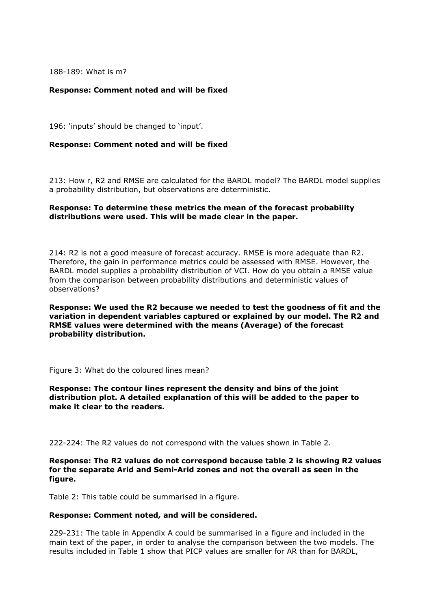188-189: What is m?

## **Response: Comment noted and will be fixed**

196: 'inputs' should be changed to 'input'.

### **Response: Comment noted and will be fixed**

213: How r, R2 and RMSE are calculated for the BARDL model? The BARDL model supplies a probability distribution, but observations are deterministic.

## **Response: To determine these metrics the mean of the forecast probability distributions were used. This will be made clear in the paper.**

214: R2 is not a good measure of forecast accuracy. RMSE is more adequate than R2. Therefore, the gain in performance metrics could be assessed with RMSE. However, the BARDL model supplies a probability distribution of VCI. How do you obtain a RMSE value from the comparison between probability distributions and deterministic values of observations?

**Response: We used the R2 because we needed to test the goodness of fit and the variation in dependent variables captured or explained by our model. The R2 and RMSE values were determined with the means (Average) of the forecast probability distribution.**

Figure 3: What do the coloured lines mean?

**Response: The contour lines represent the density and bins of the joint distribution plot. A detailed explanation of this will be added to the paper to make it clear to the readers.** 

222-224: The R2 values do not correspond with the values shown in Table 2.

### **Response: The R2 values do not correspond because table 2 is showing R2 values for the separate Arid and Semi-Arid zones and not the overall as seen in the figure.**

Table 2: This table could be summarised in a figure.

#### **Response: Comment noted, and will be considered.**

229-231: The table in Appendix A could be summarised in a figure and included in the main text of the paper, in order to analyse the comparison between the two models. The results included in Table 1 show that PICP values are smaller for AR than for BARDL,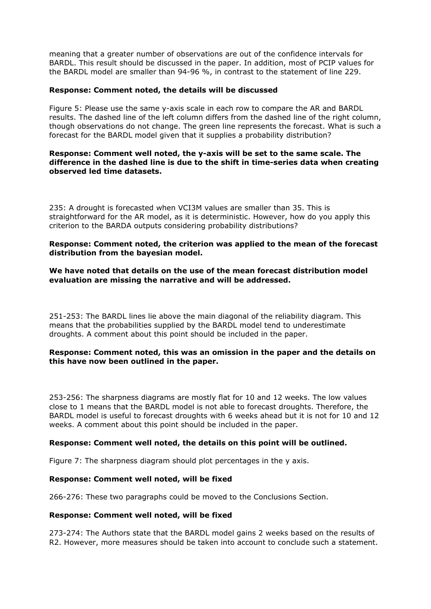meaning that a greater number of observations are out of the confidence intervals for BARDL. This result should be discussed in the paper. In addition, most of PCIP values for the BARDL model are smaller than 94-96 %, in contrast to the statement of line 229.

## **Response: Comment noted, the details will be discussed**

Figure 5: Please use the same y-axis scale in each row to compare the AR and BARDL results. The dashed line of the left column differs from the dashed line of the right column, though observations do not change. The green line represents the forecast. What is such a forecast for the BARDL model given that it supplies a probability distribution?

### **Response: Comment well noted, the y-axis will be set to the same scale. The difference in the dashed line is due to the shift in time-series data when creating observed led time datasets.**

235: A drought is forecasted when VCI3M values are smaller than 35. This is straightforward for the AR model, as it is deterministic. However, how do you apply this criterion to the BARDA outputs considering probability distributions?

### **Response: Comment noted, the criterion was applied to the mean of the forecast distribution from the bayesian model.**

### **We have noted that details on the use of the mean forecast distribution model evaluation are missing the narrative and will be addressed.**

251-253: The BARDL lines lie above the main diagonal of the reliability diagram. This means that the probabilities supplied by the BARDL model tend to underestimate droughts. A comment about this point should be included in the paper.

### **Response: Comment noted, this was an omission in the paper and the details on this have now been outlined in the paper.**

253-256: The sharpness diagrams are mostly flat for 10 and 12 weeks. The low values close to 1 means that the BARDL model is not able to forecast droughts. Therefore, the BARDL model is useful to forecast droughts with 6 weeks ahead but it is not for 10 and 12 weeks. A comment about this point should be included in the paper.

## **Response: Comment well noted, the details on this point will be outlined.**

Figure 7: The sharpness diagram should plot percentages in the y axis.

## **Response: Comment well noted, will be fixed**

266-276: These two paragraphs could be moved to the Conclusions Section.

#### **Response: Comment well noted, will be fixed**

273-274: The Authors state that the BARDL model gains 2 weeks based on the results of R2. However, more measures should be taken into account to conclude such a statement.